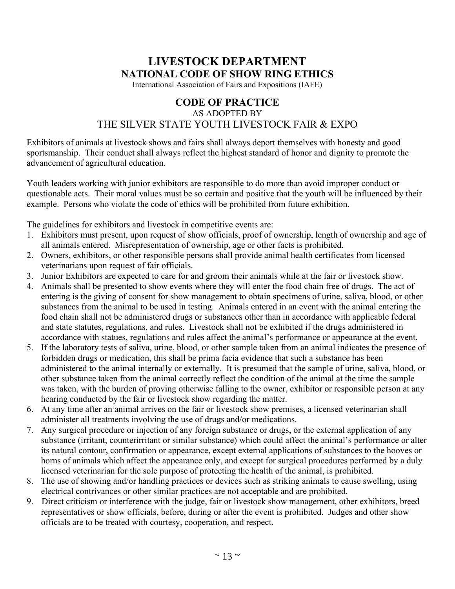# **LIVESTOCK DEPARTMENT NATIONAL CODE OF SHOW RING ETHICS**

International Association of Fairs and Expositions (IAFE)

### **CODE OF PRACTICE** AS ADOPTED BY THE SILVER STATE YOUTH LIVESTOCK FAIR & EXPO

Exhibitors of animals at livestock shows and fairs shall always deport themselves with honesty and good sportsmanship. Their conduct shall always reflect the highest standard of honor and dignity to promote the advancement of agricultural education.

Youth leaders working with junior exhibitors are responsible to do more than avoid improper conduct or questionable acts. Their moral values must be so certain and positive that the youth will be influenced by their example. Persons who violate the code of ethics will be prohibited from future exhibition.

The guidelines for exhibitors and livestock in competitive events are:

- 1. Exhibitors must present, upon request of show officials, proof of ownership, length of ownership and age of all animals entered. Misrepresentation of ownership, age or other facts is prohibited.
- 2. Owners, exhibitors, or other responsible persons shall provide animal health certificates from licensed veterinarians upon request of fair officials.
- 3. Junior Exhibitors are expected to care for and groom their animals while at the fair or livestock show.
- 4. Animals shall be presented to show events where they will enter the food chain free of drugs. The act of entering is the giving of consent for show management to obtain specimens of urine, saliva, blood, or other substances from the animal to be used in testing. Animals entered in an event with the animal entering the food chain shall not be administered drugs or substances other than in accordance with applicable federal and state statutes, regulations, and rules. Livestock shall not be exhibited if the drugs administered in accordance with statues, regulations and rules affect the animal's performance or appearance at the event.
- 5. If the laboratory tests of saliva, urine, blood, or other sample taken from an animal indicates the presence of forbidden drugs or medication, this shall be prima facia evidence that such a substance has been administered to the animal internally or externally. It is presumed that the sample of urine, saliva, blood, or other substance taken from the animal correctly reflect the condition of the animal at the time the sample was taken, with the burden of proving otherwise falling to the owner, exhibitor or responsible person at any hearing conducted by the fair or livestock show regarding the matter.
- 6. At any time after an animal arrives on the fair or livestock show premises, a licensed veterinarian shall administer all treatments involving the use of drugs and/or medications.
- 7. Any surgical procedure or injection of any foreign substance or drugs, or the external application of any substance (irritant, counterirritant or similar substance) which could affect the animal's performance or alter its natural contour, confirmation or appearance, except external applications of substances to the hooves or horns of animals which affect the appearance only, and except for surgical procedures performed by a duly licensed veterinarian for the sole purpose of protecting the health of the animal, is prohibited.
- 8. The use of showing and/or handling practices or devices such as striking animals to cause swelling, using electrical contrivances or other similar practices are not acceptable and are prohibited.
- 9.Direct criticism or interference with the judge, fair or livestock show management, other exhibitors, breed representatives or show officials, before, during or after the event is prohibited. Judges and other show officials are to be treated with courtesy, cooperation, and respect.